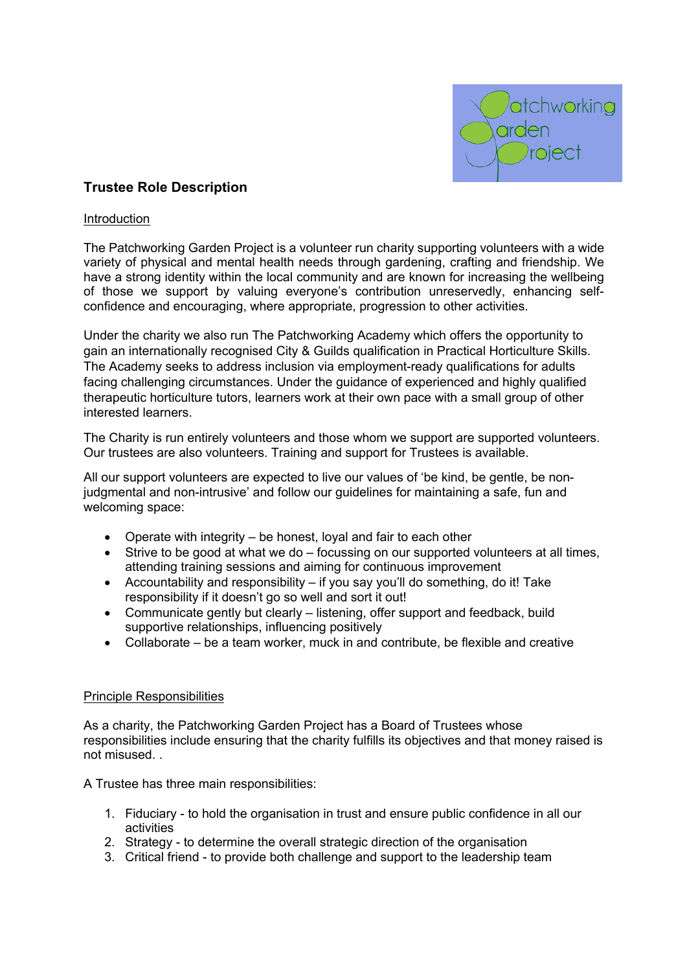

# **Trustee Role Description**

#### Introduction

The Patchworking Garden Project is a volunteer run charity supporting volunteers with a wide variety of physical and mental health needs through gardening, crafting and friendship. We have a strong identity within the local community and are known for increasing the wellbeing of those we support by valuing everyone's contribution unreservedly, enhancing selfconfidence and encouraging, where appropriate, progression to other activities.

Under the charity we also run The Patchworking Academy which offers the opportunity to gain an internationally recognised City & Guilds qualification in Practical Horticulture Skills. The Academy seeks to address inclusion via employment-ready qualifications for adults facing challenging circumstances. Under the guidance of experienced and highly qualified therapeutic horticulture tutors, learners work at their own pace with a small group of other interested learners.

The Charity is run entirely volunteers and those whom we support are supported volunteers. Our trustees are also volunteers. Training and support for Trustees is available.

All our support volunteers are expected to live our values of 'be kind, be gentle, be nonjudgmental and non-intrusive' and follow our guidelines for maintaining a safe, fun and welcoming space:

- Operate with integrity be honest, loyal and fair to each other
- Strive to be good at what we do focussing on our supported volunteers at all times, attending training sessions and aiming for continuous improvement
- Accountability and responsibility if you say you'll do something, do it! Take responsibility if it doesn't go so well and sort it out!
- Communicate gently but clearly listening, offer support and feedback, build supportive relationships, influencing positively
- Collaborate be a team worker, muck in and contribute, be flexible and creative

### Principle Responsibilities

As a charity, the Patchworking Garden Project has a Board of Trustees whose responsibilities include ensuring that the charity fulfills its objectives and that money raised is not misused. .

A Trustee has three main responsibilities:

- 1. Fiduciary to hold the organisation in trust and ensure public confidence in all our activities
- 2. Strategy to determine the overall strategic direction of the organisation
- 3. Critical friend to provide both challenge and support to the leadership team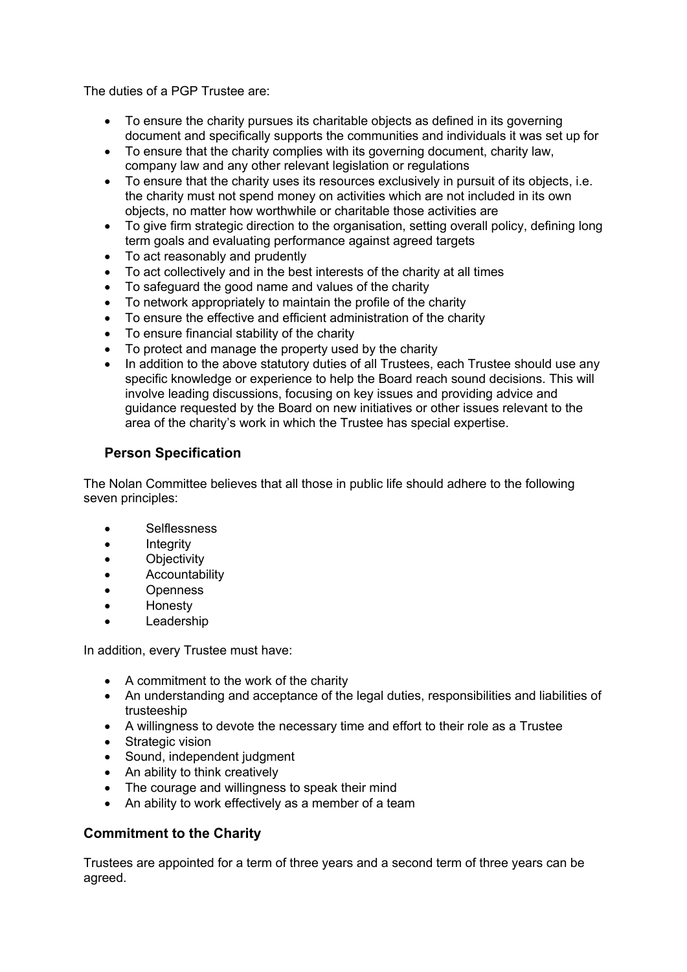The duties of a PGP Trustee are:

- To ensure the charity pursues its charitable objects as defined in its governing document and specifically supports the communities and individuals it was set up for
- To ensure that the charity complies with its governing document, charity law, company law and any other relevant legislation or regulations
- To ensure that the charity uses its resources exclusively in pursuit of its objects, i.e. the charity must not spend money on activities which are not included in its own objects, no matter how worthwhile or charitable those activities are
- To give firm strategic direction to the organisation, setting overall policy, defining long term goals and evaluating performance against agreed targets
- To act reasonably and prudently
- To act collectively and in the best interests of the charity at all times
- To safeguard the good name and values of the charity
- To network appropriately to maintain the profile of the charity
- To ensure the effective and efficient administration of the charity
- To ensure financial stability of the charity
- To protect and manage the property used by the charity
- In addition to the above statutory duties of all Trustees, each Trustee should use any specific knowledge or experience to help the Board reach sound decisions. This will involve leading discussions, focusing on key issues and providing advice and guidance requested by the Board on new initiatives or other issues relevant to the area of the charity's work in which the Trustee has special expertise.

## **Person Specification**

The Nolan Committee believes that all those in public life should adhere to the following seven principles:

- Selflessness
- Integrity
- Objectivity
- Accountability
- Openness
- Honesty
- **Leadership**

In addition, every Trustee must have:

- A commitment to the work of the charity
- An understanding and acceptance of the legal duties, responsibilities and liabilities of trusteeship
- A willingness to devote the necessary time and effort to their role as a Trustee
- Strategic vision
- Sound, independent judgment
- An ability to think creatively
- The courage and willingness to speak their mind
- An ability to work effectively as a member of a team

## **Commitment to the Charity**

Trustees are appointed for a term of three years and a second term of three years can be agreed.